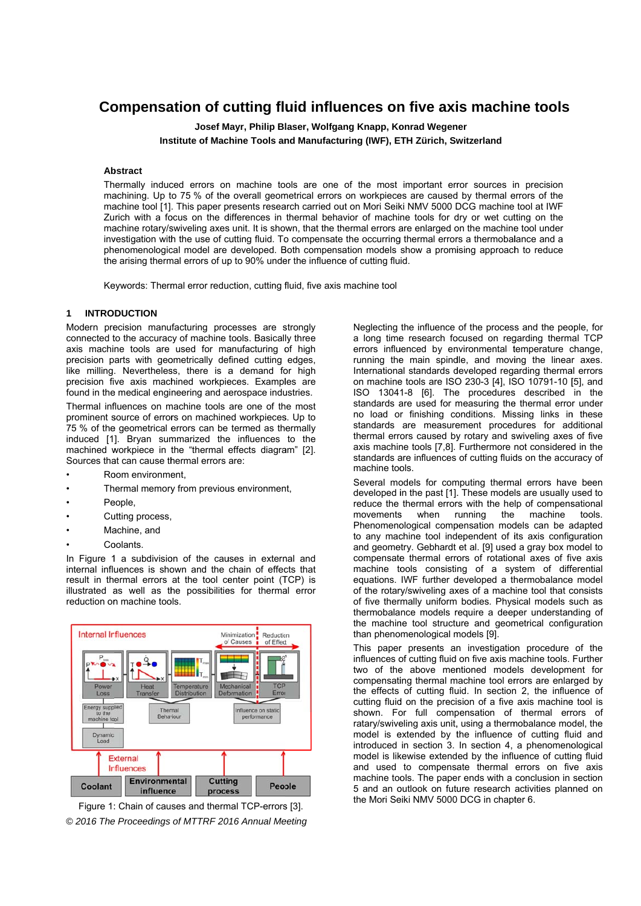# Compensation of cutting fluid influences on five axis machine tools

Josef Mayr, Philip Blaser, Wolfgang Knapp, Konrad Wegener Institute of Machine Tools and Manufacturing (IWF), ETH Zürich, Switzerland

## **Abstract**

Thermally induced errors on machine tools are one of the most important error sources in precision machining. Up to 75 % of the overall geometrical errors on workpieces are caused by thermal errors of the machine tool [1]. This paper presents research carried out on Mori Seiki NMV 5000 DCG machine tool at IWF Zurich with a focus on the differences in thermal behavior of machine tools for dry or wet cutting on the machine rotary/swiveling axes unit. It is shown, that the thermal errors are enlarged on the machine tool under investigation with the use of cutting fluid. To compensate the occurring thermal errors a thermobalance and a phenomenological model are developed. Both compensation models show a promising approach to reduce the arising thermal errors of up to 90% under the influence of cutting fluid.

Keywords: Thermal error reduction, cutting fluid, five axis machine tool

### **INTRODUCTION**

Modern precision manufacturing processes are strongly connected to the accuracy of machine tools. Basically three axis machine tools are used for manufacturing of high precision parts with geometrically defined cutting edges. like milling. Nevertheless, there is a demand for high precision five axis machined workpieces. Examples are found in the medical engineering and aerospace industries.

Thermal influences on machine tools are one of the most prominent source of errors on machined workpieces. Up to 75 % of the geometrical errors can be termed as thermally induced [1]. Bryan summarized the influences to the machined workpiece in the "thermal effects diagram" [2]. Sources that can cause thermal errors are:

- Room environment
- Thermal memory from previous environment,
- People,
- Cutting process.
- Machine, and
- Coolants.

In Figure 1 a subdivision of the causes in external and internal influences is shown and the chain of effects that result in thermal errors at the tool center point (TCP) is illustrated as well as the possibilities for thermal error reduction on machine tools.



Figure 1: Chain of causes and thermal TCP-errors [3]. © 2016 The Proceedings of MTTRF 2016 Annual Meeting Neglecting the influence of the process and the people, for a long time research focused on regarding thermal TCP errors influenced by environmental temperature change, running the main spindle, and moving the linear axes. International standards developed regarding thermal errors on machine tools are ISO 230-3 [4], ISO 10791-10 [5], and ISO 13041-8 [6]. The procedures described in the standards are used for measuring the thermal error under no load or finishing conditions. Missing links in these standards are measurement procedures for additional thermal errors caused by rotary and swiveling axes of five axis machine tools [7,8]. Furthermore not considered in the standards are influences of cutting fluids on the accuracy of machine tools.

Several models for computing thermal errors have been developed in the past [1]. These models are usually used to reduce the thermal errors with the help of compensational running machine movements when  $the$ tools Phenomenological compensation models can be adapted to any machine tool independent of its axis configuration and geometry. Gebhardt et al. [9] used a gray box model to compensate thermal errors of rotational axes of five axis machine tools consisting of a system of differential equations. IWF further developed a thermobalance model of the rotary/swiveling axes of a machine tool that consists of five thermally uniform bodies. Physical models such as thermobalance models require a deeper understanding of the machine tool structure and geometrical configuration than phenomenological models [9].

This paper presents an investigation procedure of the influences of cutting fluid on five axis machine tools. Further two of the above mentioned models development for compensating thermal machine tool errors are enlarged by the effects of cutting fluid. In section 2, the influence of cutting fluid on the precision of a five axis machine tool is shown. For full compensation of thermal errors of ratary/swiveling axis unit, using a thermobalance model, the model is extended by the influence of cutting fluid and introduced in section 3. In section 4, a phenomenological model is likewise extended by the influence of cutting fluid and used to compensate thermal errors on five axis machine tools. The paper ends with a conclusion in section 5 and an outlook on future research activities planned on the Mori Seiki NMV 5000 DCG in chapter 6.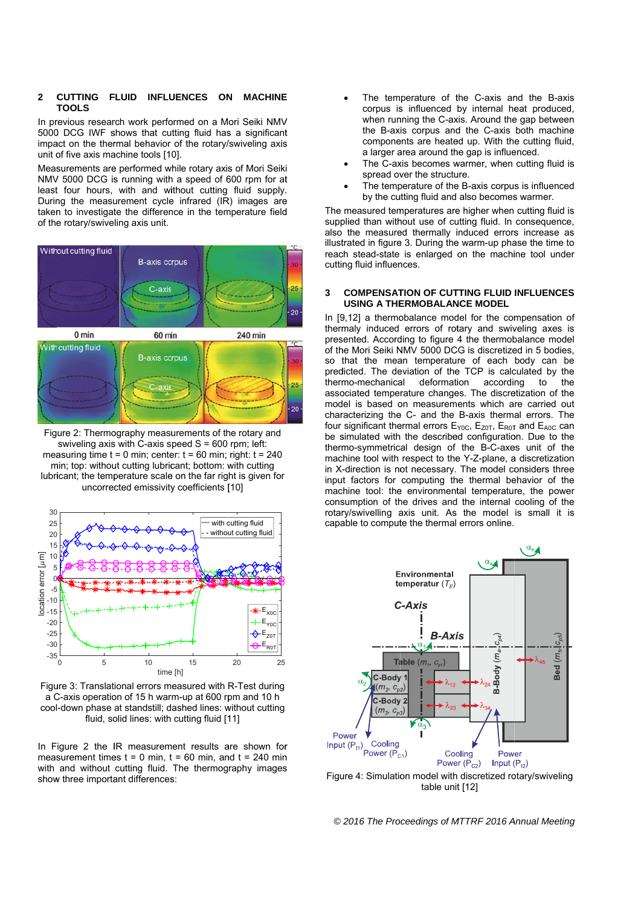#### CUTTING FLUID INFLUENCES ON **MACHINE**  $\overline{2}$ **TOOLS**

In previous research work performed on a Mori Seiki NMV 5000 DCG IWF shows that cutting fluid has a significant impact on the thermal behavior of the rotary/swiveling axis unit of five axis machine tools [10].

Measurements are performed while rotary axis of Mori Seiki NMV 5000 DCG is running with a speed of 600 rpm for at least four hours, with and without cutting fluid supply. During the measurement cycle infrared (IR) images are taken to investigate the difference in the temperature field of the rotary/swiveling axis unit.



Figure 2: Thermography measurements of the rotary and swiveling axis with C-axis speed  $S = 600$  rpm; left: measuring time  $t = 0$  min; center:  $t = 60$  min; right:  $t = 240$ min; top: without cutting lubricant; bottom: with cutting lubricant; the temperature scale on the far right is given for uncorrected emissivity coefficients [10]



Figure 3: Translational errors measured with R-Test during a C-axis operation of 15 h warm-up at 600 rpm and 10 h cool-down phase at standstill; dashed lines: without cutting fluid, solid lines: with cutting fluid [11]

In Figure 2 the IR measurement results are shown for measurement times  $t = 0$  min,  $t = 60$  min, and  $t = 240$  min with and without cutting fluid. The thermography images show three important differences:

- The temperature of the C-axis and the B-axis corpus is influenced by internal heat produced, when running the C-axis. Around the gap between the B-axis corpus and the C-axis both machine components are heated up. With the cutting fluid, a larger area around the gap is influenced.
- The C-axis becomes warmer, when cutting fluid is spread over the structure.
- The temperature of the B-axis corpus is influenced by the cutting fluid and also becomes warmer.

The measured temperatures are higher when cutting fluid is supplied than without use of cutting fluid. In consequence, also the measured thermally induced errors increase as illustrated in figure 3. During the warm-up phase the time to reach stead-state is enlarged on the machine tool under cutting fluid influences.

#### **COMPENSATION OF CUTTING FLUID INFLUENCES**  $\overline{\mathbf{3}}$ **USING A THERMORAL ANCE MODEL**

In [9,12] a thermobalance model for the compensation of thermaly induced errors of rotary and swiveling axes is presented. According to figure 4 the thermobalance model of the Mori Seiki NMV 5000 DCG is discretized in 5 bodies, so that the mean temperature of each body can be predicted. The deviation of the TCP is calculated by the thermo-mechanical deformation according to the associated temperature changes. The discretization of the model is based on measurements which are carried out characterizing the C- and the B-axis thermal errors. The four significant thermal errors E<sub>Y0C</sub>, E<sub>Z0T</sub>, E<sub>R0T</sub> and E<sub>A0C</sub> can be simulated with the described configuration. Due to the thermo-symmetrical design of the B-C-axes unit of the machine tool with respect to the Y-Z-plane, a discretization in X-direction is not necessary. The model considers three input factors for computing the thermal behavior of the machine tool: the environmental temperature, the power consumption of the drives and the internal cooling of the rotary/swivelling axis unit. As the model is small it is capable to compute the thermal errors online.



Figure 4: Simulation model with discretized rotary/swiveling table unit [12]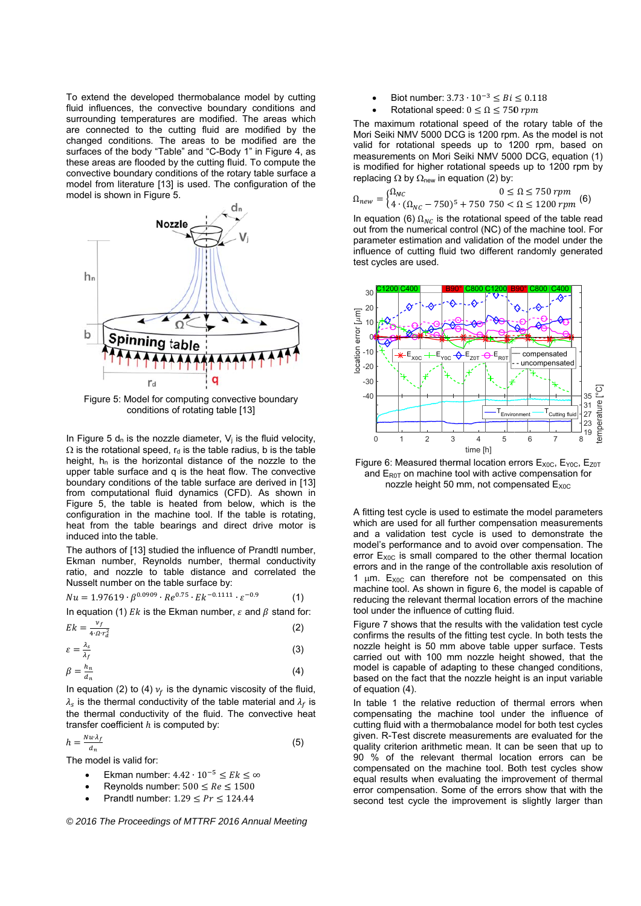To extend the developed thermobalance model by cutting fluid influences, the convective boundary conditions and surrounding temperatures are modified. The areas which are connected to the cutting fluid are modified by the changed conditions. The areas to be modified are the surfaces of the body "Table" and "C-Body 1" in Figure 4, as these areas are flooded by the cutting fluid. To compute the convective boundary conditions of the rotary table surface a model from literature [13] is used. The configuration of the model is shown in Figure 5.



Figure 5: Model for computing convective boundary conditions of rotating table [13]

In Figure 5  $d_n$  is the nozzle diameter,  $V_i$  is the fluid velocity,  $\Omega$  is the rotational speed,  $r_d$  is the table radius, b is the table height,  $h_n$  is the horizontal distance of the nozzle to the upper table surface and a is the heat flow. The convective boundary conditions of the table surface are derived in [13] from computational fluid dynamics (CFD). As shown in Figure 5, the table is heated from below, which is the configuration in the machine tool. If the table is rotating, heat from the table bearings and direct drive motor is induced into the table.

The authors of [13] studied the influence of Prandtl number. Ekman number, Reynolds number, thermal conductivity ratio, and nozzle to table distance and correlated the Nusselt number on the table surface by:

$$
Nu = 1.97619 \cdot \beta^{0.0909} \cdot Re^{0.75} \cdot Ek^{-0.1111} \cdot \varepsilon^{-0.9}
$$
 (1)

In equation (1) Ek is the Ekman number,  $\varepsilon$  and  $\beta$  stand for:

$$
Ek = \frac{\nu_f}{4 \cdot \Omega \cdot r_d^2} \tag{2}
$$

$$
\varepsilon = \frac{\lambda_s}{\lambda_f} \tag{3}
$$

$$
\beta = \frac{n_n}{d_n} \tag{4}
$$

In equation (2) to (4)  $v_f$  is the dynamic viscosity of the fluid,  $\lambda_{s}$  is the thermal conductivity of the table material and  $\lambda_{f}$  is the thermal conductivity of the fluid. The convective heat transfer coefficient  $h$  is computed by:

$$
h = \frac{Nu \cdot \lambda_f}{d_n} \tag{5}
$$

The model is valid for:

- Ekman number:  $4.42 \cdot 10^{-5} \leq Ek \leq \infty$
- Reynolds number:  $500 \leq Re \leq 1500$
- Prandtl number:  $1.29 < Pr < 124.44$

© 2016 The Proceedings of MTTRF 2016 Annual Meeting

- Biot number:  $3.73 \cdot 10^{-3} \leq Bi \leq 0.118$
- Rotational speed:  $0 \le \Omega \le 750$  rpm

The maximum rotational speed of the rotary table of the Mori Seiki NMV 5000 DCG is 1200 rpm. As the model is not valid for rotational speeds up to 1200 rpm, based on measurements on Mori Seiki NMV 5000 DCG, equation (1) is modified for higher rotational speeds up to 1200 rpm by replacing  $\Omega$  by  $\Omega_{\text{new}}$  in equation (2) by:

$$
\Omega_{new} = \begin{cases} \Omega_{NC} & 0 \le \Omega \le 750 \, rpm \\ 4 \cdot (\Omega_{NC} - 750)^5 + 750 \, 750 < \Omega \le 1200 \, rpm \end{cases} \tag{6}
$$

In equation (6)  $\Omega_{NC}$  is the rotational speed of the table read out from the numerical control (NC) of the machine tool. For parameter estimation and validation of the model under the influence of cutting fluid two different randomly generated test cycles are used.



Figure 6: Measured thermal location errors Exoc, EYoc, Ezot and  $E_{\text{ROT}}$  on machine tool with active compensation for nozzle height 50 mm, not compensated E<sub>xoc</sub>

A fitting test cycle is used to estimate the model parameters which are used for all further compensation measurements and a validation test cycle is used to demonstrate the model's performance and to avoid over compensation. The error E<sub>xoc</sub> is small compared to the other thermal location errors and in the range of the controllable axis resolution of 1  $\mu$ m. E<sub>xoc</sub> can therefore not be compensated on this machine tool. As shown in figure 6, the model is capable of reducing the relevant thermal location errors of the machine tool under the influence of cutting fluid.

Figure 7 shows that the results with the validation test cycle confirms the results of the fitting test cycle. In both tests the nozzle height is 50 mm above table upper surface. Tests carried out with 100 mm nozzle height showed, that the model is capable of adapting to these changed conditions. based on the fact that the nozzle height is an input variable of equation (4).

In table 1 the relative reduction of thermal errors when compensating the machine tool under the influence of cutting fluid with a thermobalance model for both test cycles given. R-Test discrete measurements are evaluated for the quality criterion arithmetic mean. It can be seen that up to 90 % of the relevant thermal location errors can be compensated on the machine tool. Both test cycles show equal results when evaluating the improvement of thermal error compensation. Some of the errors show that with the second test cycle the improvement is slightly larger than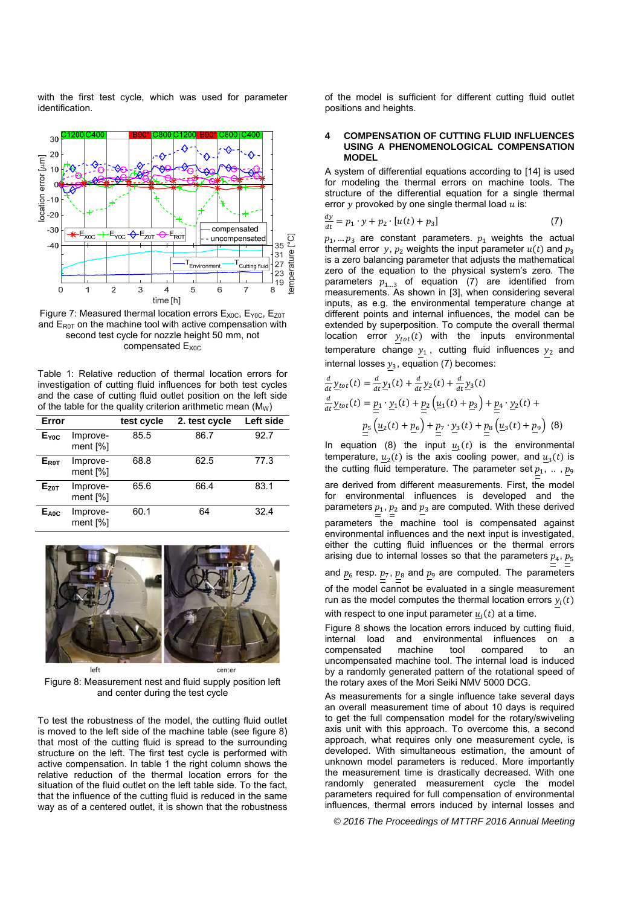with the first test cycle, which was used for parameter identification.





Table 1: Relative reduction of thermal location errors for investigation of cutting fluid influences for both test cycles and the case of cutting fluid outlet position on the left side of the table for the quality criterion arithmetic mean  $(M_W)$ 

| Error                   |                                 | test cycle | 2. test cycle | Left side |
|-------------------------|---------------------------------|------------|---------------|-----------|
| Eyoc                    | Improve-<br>ment $[\%]$         | 85.5       | 86.7          | 92.7      |
| <b>E</b> <sub>ROT</sub> | Improve-<br>ment [%]            | 68.8       | 62.5          | 77.3      |
| $E_{Z0T}$               | Improve-<br>ment $[\%]$         | 65.6       | 66.4          | 83.1      |
| $E_{A0C}$               | Improve-<br>ment <sup>[%]</sup> | 60.1       | 64            | 32.4      |



Figure 8: Measurement nest and fluid supply position left and center during the test cycle

To test the robustness of the model, the cutting fluid outlet is moved to the left side of the machine table (see figure 8) that most of the cutting fluid is spread to the surrounding structure on the left. The first test cycle is performed with active compensation. In table 1 the right column shows the relative reduction of the thermal location errors for the situation of the fluid outlet on the left table side. To the fact. that the influence of the cutting fluid is reduced in the same way as of a centered outlet, it is shown that the robustness of the model is sufficient for different cutting fluid outlet positions and heights.

#### **COMPENSATION OF CUTTING FLUID INFLUENCES** USING A PHENOMENOLOGICAL COMPENSATION **MODEL**

A system of differential equations according to [14] is used for modeling the thermal errors on machine tools. The structure of the differential equation for a single thermal error  $y$  provoked by one single thermal load  $u$  is:

$$
\frac{dy}{dt} = p_1 \cdot y + p_2 \cdot [u(t) + p_3] \tag{7}
$$

 $p_1, \ldots p_3$  are constant parameters.  $p_1$  weights the actual thermal error y,  $p_2$  weights the input parameter  $u(t)$  and  $p_3$ is a zero balancing parameter that adjusts the mathematical zero of the equation to the physical system's zero. The parameters  $p_{1...3}$  of equation (7) are identified from measurements. As shown in [3], when considering several inputs, as e.g. the environmental temperature change at different points and internal influences, the model can be extended by superposition. To compute the overall thermal location error  $y_{tot}(t)$  with the inputs environmental temperature change  $y_1$ , cutting fluid influences  $y_2$  and internal losses  $y_3$ , equation (7) becomes:

$$
\frac{d}{dt}\underline{y}_{tot}(t) = \frac{d}{dt}\underline{y}_1(t) + \frac{d}{dt}\underline{y}_2(t) + \frac{d}{dt}\underline{y}_3(t) \n\frac{d}{dt}\underline{y}_{tot}(t) = \underline{p}_1 \cdot \underline{y}_1(t) + \underline{p}_2 \left(\underline{u}_1(t) + \underline{p}_3\right) + \underline{p}_4 \cdot \underline{y}_2(t) + \n\underline{p}_5 \left(\underline{u}_2(t) + \underline{p}_6\right) + \underline{p}_7 \cdot \underline{y}_3(t) + \underline{p}_8 \left(\underline{u}_3(t) + \underline{p}_9\right)
$$
(8)

In equation (8) the input  $\underline{u}_1(t)$  is the environmental temperature,  $u_2(t)$  is the axis cooling power, and  $u_3(t)$  is the cutting fluid temperature. The parameter set  $p_1, \ldots, p_9$ are derived from different measurements. First, the model for environmental influences is developed and the parameters  $p_1$ ,  $p_2$  and  $p_3$  are computed. With these derived parameters the machine tool is compensated against environmental influences and the next input is investigated, either the cutting fluid influences or the thermal errors arising due to internal losses so that the parameters  $p_4$ ,  $p_5$ and  $\underline{p}_6$  resp.  $\underline{p}_7$ ,  $\underline{p}_8$  and  $\underline{p}_9$  are computed. The parameters of the model cannot be evaluated in a single measurement run as the model computes the thermal location errors  $y_i(t)$ 

with respect to one input parameter  $\underline{u}_i(t)$  at a time.

Figure 8 shows the location errors induced by cutting fluid, internal load and environmental influences on a compensated tool compared machine  $t_0$ an an uncompensated machine tool. The internal load is induced by a randomly generated pattern of the rotational speed of the rotary axes of the Mori Seiki NMV 5000 DCG.

As measurements for a single influence take several days an overall measurement time of about 10 days is required to get the full compensation model for the rotary/swiveling axis unit with this approach. To overcome this, a second approach, what requires only one measurement cycle, is developed. With simultaneous estimation, the amount of unknown model parameters is reduced. More importantly the measurement time is drastically decreased. With one randomly generated measurement cycle the model parameters required for full compensation of environmental influences, thermal errors induced by internal losses and

© 2016 The Proceedings of MTTRF 2016 Annual Meeting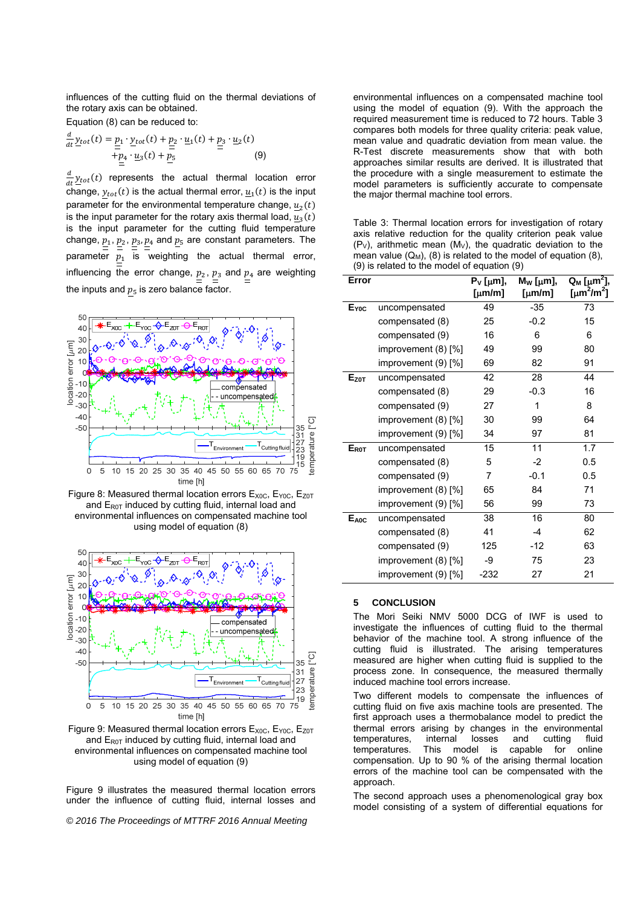influences of the cutting fluid on the thermal deviations of the rotary axis can be obtained.

Equation (8) can be reduced to:

$$
\frac{d}{dt}\underline{y}_{tot}(t) = \underline{\underline{p}}_1 \cdot \underline{y}_{tot}(t) + \underline{\underline{p}}_2 \cdot \underline{u}_1(t) + \underline{\underline{p}}_3 \cdot \underline{u}_2(t) + \underline{\underline{p}}_4 \cdot \underline{u}_3(t) + \underline{\underline{p}}_5 \tag{9}
$$

 $\frac{d}{dt} y_{tot}(t)$  represents the actual thermal location error change,  $y_{tot}(t)$  is the actual thermal error,  $u_1(t)$  is the input parameter for the environmental temperature change,  $u_2(t)$ is the input parameter for the rotary axis thermal load,  $u_3(t)$ is the input parameter for the cutting fluid temperature change,  $p_1$ ,  $p_2$ ,  $p_3$ ,  $p_4$  and  $p_5$  are constant parameters. The parameter  $p_1$  is weighting the actual thermal error, influencing the error change,  $p_2$ ,  $p_3$  and  $p_4$  are weighting the inputs and  $p_5$  is zero balance factor.



Figure 8: Measured thermal location errors  $E_{X0C}$ ,  $E_{Y0C}$ ,  $E_{Z0T}$ and  $E_{\text{ROT}}$  induced by cutting fluid, internal load and environmental influences on compensated machine tool using model of equation (8)



Figure 9: Measured thermal location errors  $E_{X0C}$ ,  $E_{Y0C}$ ,  $E_{Z0T}$ and  $E_{ROT}$  induced by cutting fluid, internal load and environmental influences on compensated machine tool using model of equation (9)

Figure 9 illustrates the measured thermal location errors under the influence of cutting fluid, internal losses and

*© 2016 The Proceedings of MTTRF 2016 Annual Meeting* 

environmental influences on a compensated machine tool using the model of equation (9). With the approach the required measurement time is reduced to 72 hours. Table 3 compares both models for three quality criteria: peak value, mean value and quadratic deviation from mean value. the R-Test discrete measurements show that with both approaches similar results are derived. It is illustrated that the procedure with a single measurement to estimate the model parameters is sufficiently accurate to compensate the major thermal machine tool errors.

Table 3: Thermal location errors for investigation of rotary axis relative reduction for the quality criterion peak value  $(P_V)$ , arithmetic mean  $(M_V)$ , the quadratic deviation to the mean value  $(Q_M)$ , (8) is related to the model of equation (8), (9) is related to the model of equation (9)

| Error            |                         | $P_V$ [µm],<br>[ $\mu$ m/m] | $M_W$ [µm],<br>[µm/m] | $Q_M$ [ $\mu$ m <sup>2</sup> ],<br>[ $\mu$ m <sup>2</sup> /m <sup>2</sup> ] |
|------------------|-------------------------|-----------------------------|-----------------------|-----------------------------------------------------------------------------|
| E <sub>voc</sub> | uncompensated           | 49                          | $-35$                 | 73                                                                          |
|                  | compensated (8)         | 25                          | $-0.2$                | 15                                                                          |
|                  | compensated (9)         | 16                          | 6                     | 6                                                                           |
|                  | improvement $(8)$ [%]   | 49                          | 99                    | 80                                                                          |
|                  | improvement (9) [%]     | 69                          | 82                    | 91                                                                          |
| $E_{Z0T}$        | uncompensated           | 42                          | 28                    | 44                                                                          |
|                  | compensated (8)         | 29                          | $-0.3$                | 16                                                                          |
|                  | compensated (9)         | 27                          | 1                     | 8                                                                           |
|                  | improvement (8) [%]     | 30                          | 99                    | 64                                                                          |
|                  | improvement (9) [%]     | 34                          | 97                    | 81                                                                          |
| <b>EROT</b>      | uncompensated           | 15                          | 11                    | 1.7                                                                         |
|                  | compensated (8)         | 5                           | $-2$                  | 0.5                                                                         |
|                  | compensated (9)         | 7                           | $-0.1$                | 0.5                                                                         |
|                  | improvement (8) [%]     | 65                          | 84                    | 71                                                                          |
|                  | improvement $(9)$ $[%]$ | 56                          | 99                    | 73                                                                          |
| $E_{A0C}$        | uncompensated           | 38                          | 16                    | 80                                                                          |
|                  | compensated (8)         | 41                          | $-4$                  | 62                                                                          |
|                  | compensated (9)         | 125                         | -12                   | 63                                                                          |
|                  | improvement $(8)$ [%]   | -9                          | 75                    | 23                                                                          |
|                  | improvement (9) [%]     | $-232$                      | 27                    | 21                                                                          |

# **5 CONCLUSION**

The Mori Seiki NMV 5000 DCG of IWF is used to investigate the influences of cutting fluid to the thermal behavior of the machine tool. A strong influence of the cutting fluid is illustrated. The arising temperatures measured are higher when cutting fluid is supplied to the process zone. In consequence, the measured thermally induced machine tool errors increase.

Two different models to compensate the influences of cutting fluid on five axis machine tools are presented. The first approach uses a thermobalance model to predict the thermal errors arising by changes in the environmental temperatures, internal losses and cutting fluid<br>temperatures. This model is capable for online temperatures. This model is capable for online compensation. Up to 90 % of the arising thermal location errors of the machine tool can be compensated with the approach.

The second approach uses a phenomenological gray box model consisting of a system of differential equations for